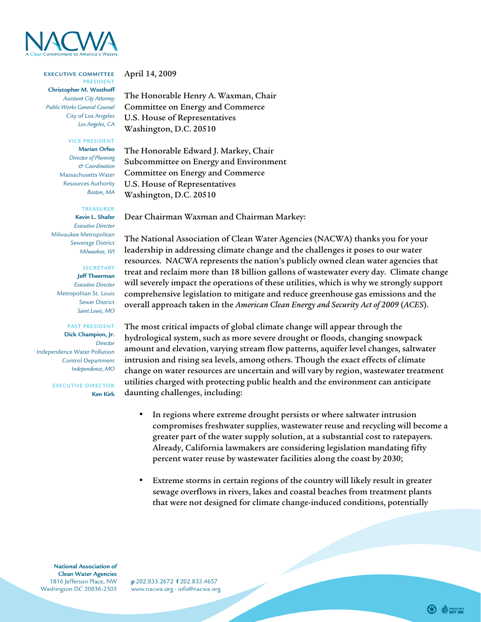

## **EXECUTIVE COMMITTEE** PRESIDENT

**Christopher M. Westhoff** *Assistant City Attorney Public Works General Counsel* City of Los Angeles *Los Angeles, CA*

VICE PRESIDENT

**Marian Orfeo** *Director of Planning & Coordination* Massachusetts Water Resources Authority *Boston, MA*

## TREASURER

**Kevin L. Shafer** *Executive Director* Milwaukee Metropolitan Sewerage District *Milwaukee, WI* 

SECRETARY **Jeff Theerman** *Executive Director* Metropolitan St. Louis Sewer District *Saint Louis, MO*

PAST PRESIDENT **Dick Champion, Jr.** *Director*  Independence Water Pollution Control Department *Independence, MO*

> EXECUTIVE DIRECTOR **Ken Kirk**

April 14, 2009

The Honorable Henry A. Waxman, Chair Committee on Energy and Commerce U.S. House of Representatives Washington, D.C. 20510

The Honorable Edward J. Markey, Chair Subcommittee on Energy and Environment Committee on Energy and Commerce U.S. House of Representatives Washington, D.C. 20510

Dear Chairman Waxman and Chairman Markey:

The National Association of Clean Water Agencies (NACWA) thanks you for your leadership in addressing climate change and the challenges it poses to our water resources. NACWA represents the nation's publicly owned clean water agencies that treat and reclaim more than 18 billion gallons of wastewater every day. Climate change will severely impact the operations of these utilities, which is why we strongly support comprehensive legislation to mitigate and reduce greenhouse gas emissions and the overall approach taken in the *American Clean Energy and Security Act of 2009* (*ACES*).

The most critical impacts of global climate change will appear through the hydrological system, such as more severe drought or floods, changing snowpack amount and elevation, varying stream flow patterns, aquifer level changes, saltwater intrusion and rising sea levels, among others. Though the exact effects of climate change on water resources are uncertain and will vary by region, wastewater treatment utilities charged with protecting public health and the environment can anticipate daunting challenges, including:

- In regions where extreme drought persists or where saltwater intrusion compromises freshwater supplies, wastewater reuse and recycling will become a greater part of the water supply solution, at a substantial cost to ratepayers. Already, California lawmakers are considering legislation mandating fifty percent water reuse by wastewater facilities along the coast by 2030;
- Extreme storms in certain regions of the country will likely result in greater sewage overflows in rivers, lakes and coastal beaches from treatment plants that were not designed for climate change-induced conditions, potentially

**National Association of Clean Water Agencies** 1816 lefferson Place, NW Washington DC 20036-2505

p 202.833.2672 f 202.833.4657 www.nacwa.org · info@nacwa.org

**B** SENTED WITH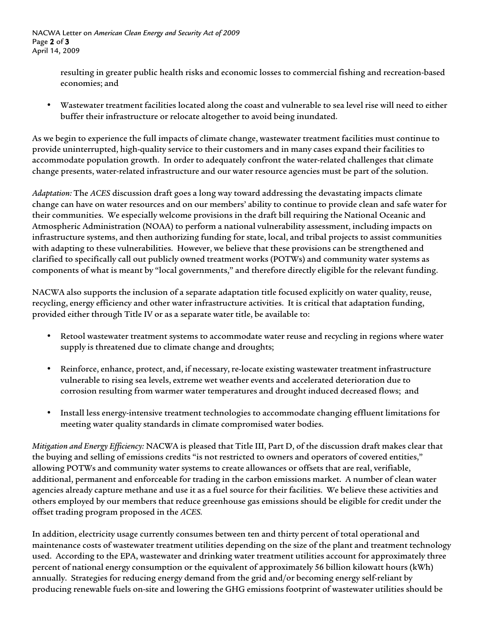NACWA Letter on *American Clean Energy and Security Act of 2009* Page 2 of 3 April 14, 2009

> resulting in greater public health risks and economic losses to commercial fishing and recreation-based economies; and

• Wastewater treatment facilities located along the coast and vulnerable to sea level rise will need to either buffer their infrastructure or relocate altogether to avoid being inundated.

As we begin to experience the full impacts of climate change, wastewater treatment facilities must continue to provide uninterrupted, high-quality service to their customers and in many cases expand their facilities to accommodate population growth. In order to adequately confront the water-related challenges that climate change presents, water-related infrastructure and our water resource agencies must be part of the solution.

*Adaptation:* The *ACES* discussion draft goes a long way toward addressing the devastating impacts climate change can have on water resources and on our members' ability to continue to provide clean and safe water for their communities. We especially welcome provisions in the draft bill requiring the National Oceanic and Atmospheric Administration (NOAA) to perform a national vulnerability assessment, including impacts on infrastructure systems, and then authorizing funding for state, local, and tribal projects to assist communities with adapting to these vulnerabilities. However, we believe that these provisions can be strengthened and clarified to specifically call out publicly owned treatment works (POTWs) and community water systems as components of what is meant by "local governments," and therefore directly eligible for the relevant funding.

NACWA also supports the inclusion of a separate adaptation title focused explicitly on water quality, reuse, recycling, energy efficiency and other water infrastructure activities. It is critical that adaptation funding, provided either through Title IV or as a separate water title, be available to:

- Retool wastewater treatment systems to accommodate water reuse and recycling in regions where water supply is threatened due to climate change and droughts;
- Reinforce, enhance, protect, and, if necessary, re-locate existing wastewater treatment infrastructure vulnerable to rising sea levels, extreme wet weather events and accelerated deterioration due to corrosion resulting from warmer water temperatures and drought induced decreased flows; and
- Install less energy-intensive treatment technologies to accommodate changing effluent limitations for meeting water quality standards in climate compromised water bodies.

*Mitigation and Energy Efficiency:* NACWA is pleased that Title III, Part D, of the discussion draft makes clear that the buying and selling of emissions credits "is not restricted to owners and operators of covered entities," allowing POTWs and community water systems to create allowances or offsets that are real, verifiable, additional, permanent and enforceable for trading in the carbon emissions market. A number of clean water agencies already capture methane and use it as a fuel source for their facilities. We believe these activities and others employed by our members that reduce greenhouse gas emissions should be eligible for credit under the offset trading program proposed in the *ACES.*

In addition, electricity usage currently consumes between ten and thirty percent of total operational and maintenance costs of wastewater treatment utilities depending on the size of the plant and treatment technology used. According to the EPA, wastewater and drinking water treatment utilities account for approximately three percent of national energy consumption or the equivalent of approximately 56 billion kilowatt hours (kWh) annually. Strategies for reducing energy demand from the grid and/or becoming energy self-reliant by producing renewable fuels on-site and lowering the GHG emissions footprint of wastewater utilities should be